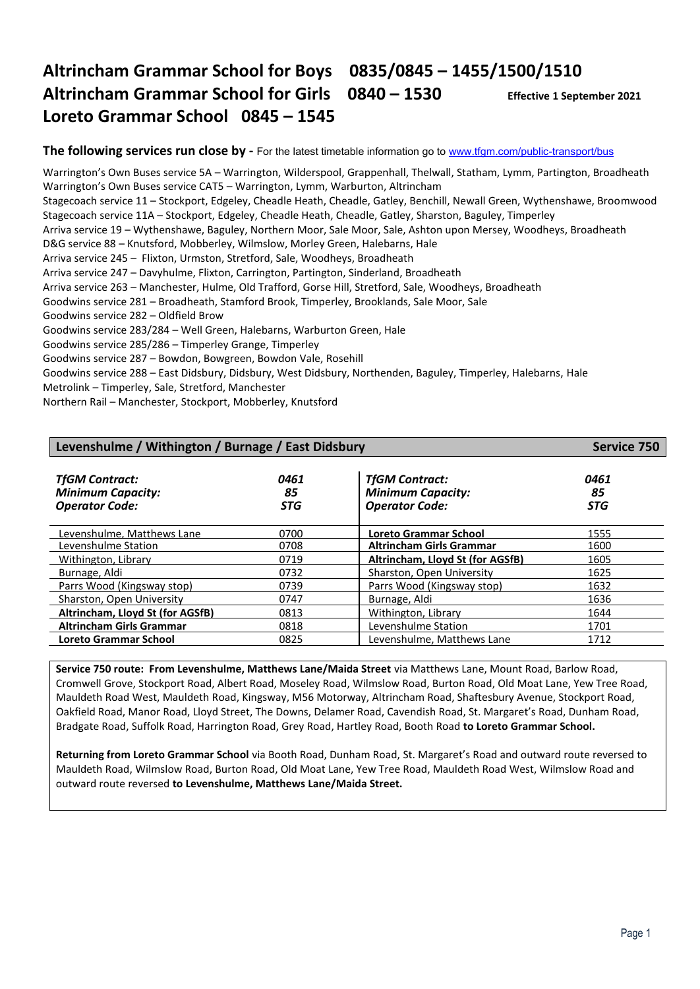# **Altrincham Grammar School for Boys 0835/0845 – 1455/1500/1510 Altrincham Grammar School for Girls 0840 – 1530 Effective 1 September 2021 Loreto Grammar School 0845 – 1545**

**The following services run close by -** For the latest timetable information go to [www.tfgm.com/public-transport/bus](http://www.tfgm.com/public-transport/bus)

Warrington's Own Buses service 5A – Warrington, Wilderspool, Grappenhall, Thelwall, Statham, Lymm, Partington, Broadheath Warrington's Own Buses service CAT5 – Warrington, Lymm, Warburton, Altrincham Stagecoach service 11 – Stockport, Edgeley, Cheadle Heath, Cheadle, Gatley, Benchill, Newall Green, Wythenshawe, Broomwood Stagecoach service 11A – Stockport, Edgeley, Cheadle Heath, Cheadle, Gatley, Sharston, Baguley, Timperley Arriva service 19 – Wythenshawe, Baguley, Northern Moor, Sale Moor, Sale, Ashton upon Mersey, Woodheys, Broadheath D&G service 88 – Knutsford, Mobberley, Wilmslow, Morley Green, Halebarns, Hale Arriva service 245 – Flixton, Urmston, Stretford, Sale, Woodheys, Broadheath Arriva service 247 – Davyhulme, Flixton, Carrington, Partington, Sinderland, Broadheath Arriva service 263 – Manchester, Hulme, Old Trafford, Gorse Hill, Stretford, Sale, Woodheys, Broadheath Goodwins service 281 – Broadheath, Stamford Brook, Timperley, Brooklands, Sale Moor, Sale Goodwins service 282 – Oldfield Brow Goodwins service 283/284 – Well Green, Halebarns, Warburton Green, Hale Goodwins service 285/286 – Timperley Grange, Timperley Goodwins service 287 – Bowdon, Bowgreen, Bowdon Vale, Rosehill Goodwins service 288 – East Didsbury, Didsbury, West Didsbury, Northenden, Baguley, Timperley, Halebarns, Hale Metrolink – Timperley, Sale, Stretford, Manchester

Northern Rail – Manchester, Stockport, Mobberley, Knutsford

| Levenshulme / Withington / Burnage / East Didsbury                         | Service 750              |                                                                            |                          |
|----------------------------------------------------------------------------|--------------------------|----------------------------------------------------------------------------|--------------------------|
| <b>TfGM Contract:</b><br><b>Minimum Capacity:</b><br><b>Operator Code:</b> | 0461<br>85<br><b>STG</b> | <b>TfGM Contract:</b><br><b>Minimum Capacity:</b><br><b>Operator Code:</b> | 0461<br>85<br><b>STG</b> |
| Levenshulme. Matthews Lane                                                 | 0700                     | Loreto Grammar School                                                      | 1555                     |
| Levenshulme Station                                                        | 0708                     | <b>Altrincham Girls Grammar</b>                                            | 1600                     |
| Withington, Library                                                        | 0719                     | Altrincham, Lloyd St (for AGSfB)                                           | 1605                     |
| Burnage, Aldi                                                              | 0732                     | Sharston, Open University                                                  | 1625                     |
| Parrs Wood (Kingsway stop)                                                 | 0739                     | Parrs Wood (Kingsway stop)                                                 | 1632                     |
| Sharston, Open University                                                  | 0747                     | Burnage, Aldi                                                              | 1636                     |
| Altrincham, Lloyd St (for AGSfB)                                           | 0813                     | Withington, Library                                                        | 1644                     |
| <b>Altrincham Girls Grammar</b>                                            | 0818                     | Levenshulme Station                                                        | 1701                     |
| <b>Loreto Grammar School</b>                                               | 0825                     | Levenshulme. Matthews Lane                                                 | 1712                     |

**Service 750 route: From Levenshulme, Matthews Lane/Maida Street** via Matthews Lane, Mount Road, Barlow Road, Cromwell Grove, Stockport Road, Albert Road, Moseley Road, Wilmslow Road, Burton Road, Old Moat Lane, Yew Tree Road, Mauldeth Road West, Mauldeth Road, Kingsway, M56 Motorway, Altrincham Road, Shaftesbury Avenue, Stockport Road, Oakfield Road, Manor Road, Lloyd Street, The Downs, Delamer Road, Cavendish Road, St. Margaret's Road, Dunham Road, Bradgate Road, Suffolk Road, Harrington Road, Grey Road, Hartley Road, Booth Road **to Loreto Grammar School.**

**Returning from Loreto Grammar School** via Booth Road, Dunham Road, St. Margaret's Road and outward route reversed to Mauldeth Road, Wilmslow Road, Burton Road, Old Moat Lane, Yew Tree Road, Mauldeth Road West, Wilmslow Road and outward route reversed **to Levenshulme, Matthews Lane/Maida Street.**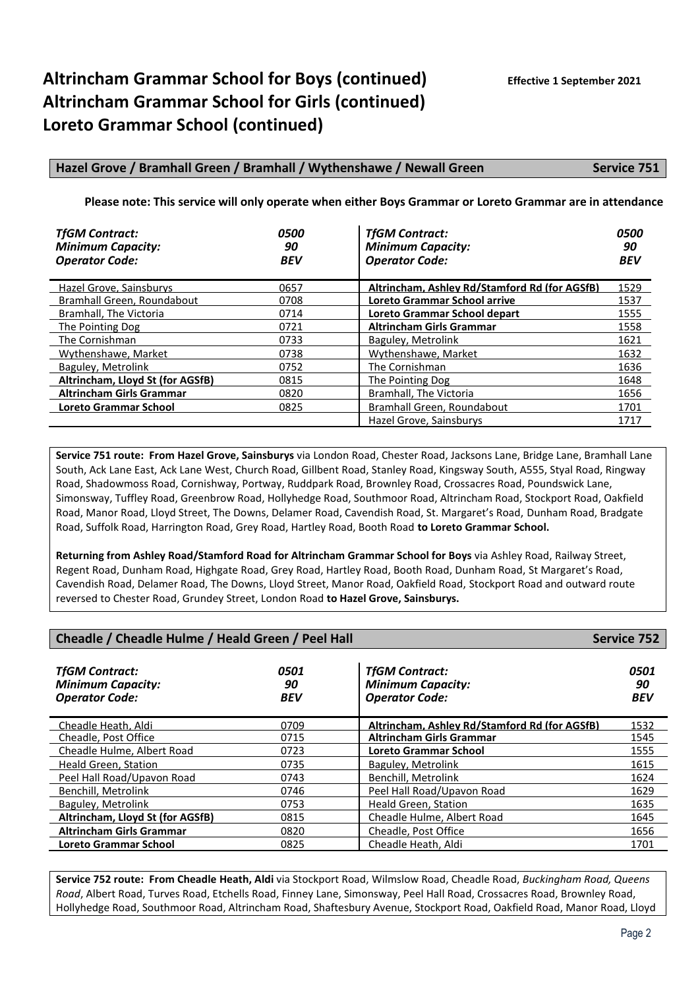#### **Hazel Grove / Bramhall Green / Bramhall / Wythenshawe / Newall Green Service 751**

#### **Please note: This service will only operate when either Boys Grammar or Loreto Grammar are in attendance**

| <b>TfGM Contract:</b><br><b>Minimum Capacity:</b><br><b>Operator Code:</b> | <i><b>0500</b></i><br>90<br><b>BEV</b> | <b>TfGM Contract:</b><br><b>Minimum Capacity:</b><br><b>Operator Code:</b> | <i><b>0500</b></i><br>90<br><b>BEV</b> |
|----------------------------------------------------------------------------|----------------------------------------|----------------------------------------------------------------------------|----------------------------------------|
| Hazel Grove, Sainsburys                                                    | 0657                                   | Altrincham. Ashley Rd/Stamford Rd (for AGSfB)                              | 1529                                   |
| Bramhall Green, Roundabout                                                 | 0708                                   | Loreto Grammar School arrive                                               | 1537                                   |
| Bramhall. The Victoria                                                     | 0714                                   | Loreto Grammar School depart                                               | 1555                                   |
| The Pointing Dog                                                           | 0721                                   | <b>Altrincham Girls Grammar</b>                                            | 1558                                   |
| The Cornishman                                                             | 0733                                   | Baguley, Metrolink                                                         | 1621                                   |
| Wythenshawe, Market                                                        | 0738                                   | Wythenshawe, Market                                                        | 1632                                   |
| Baguley, Metrolink                                                         | 0752                                   | The Cornishman                                                             | 1636                                   |
| Altrincham, Lloyd St (for AGSfB)                                           | 0815                                   | The Pointing Dog                                                           | 1648                                   |
| <b>Altrincham Girls Grammar</b>                                            | 0820                                   | Bramhall, The Victoria                                                     | 1656                                   |
| <b>Loreto Grammar School</b>                                               | 0825                                   | Bramhall Green, Roundabout                                                 | 1701                                   |
|                                                                            |                                        | Hazel Grove, Sainsburys                                                    | 1717                                   |

**Service 751 route: From Hazel Grove, Sainsburys** via London Road, Chester Road, Jacksons Lane, Bridge Lane, Bramhall Lane South, Ack Lane East, Ack Lane West, Church Road, Gillbent Road, Stanley Road, Kingsway South, A555, Styal Road, Ringway Road, Shadowmoss Road, Cornishway, Portway, Ruddpark Road, Brownley Road, Crossacres Road, Poundswick Lane, Simonsway, Tuffley Road, Greenbrow Road, Hollyhedge Road, Southmoor Road, Altrincham Road, Stockport Road, Oakfield Road, Manor Road, Lloyd Street, The Downs, Delamer Road, Cavendish Road, St. Margaret's Road, Dunham Road, Bradgate Road, Suffolk Road, Harrington Road, Grey Road, Hartley Road, Booth Road **to Loreto Grammar School.**

**Returning from Ashley Road/Stamford Road for Altrincham Grammar School for Boys** via Ashley Road, Railway Street, Regent Road, Dunham Road, Highgate Road, Grey Road, Hartley Road, Booth Road, Dunham Road, St Margaret's Road, Cavendish Road, Delamer Road, The Downs, Lloyd Street, Manor Road, Oakfield Road, Stockport Road and outward route reversed to Chester Road, Grundey Street, London Road **to Hazel Grove, Sainsburys.**

| Cheadle / Cheadle Hulme / Heald Green / Peel Hall<br><b>Service 752</b>    |                          |                                                                            |                          |  |
|----------------------------------------------------------------------------|--------------------------|----------------------------------------------------------------------------|--------------------------|--|
| <b>TfGM Contract:</b><br><b>Minimum Capacity:</b><br><b>Operator Code:</b> | 0501<br>90<br><b>BEV</b> | <b>TfGM Contract:</b><br><b>Minimum Capacity:</b><br><b>Operator Code:</b> | 0501<br>90<br><b>BEV</b> |  |
| Cheadle Heath, Aldi                                                        | 0709                     | Altrincham. Ashley Rd/Stamford Rd (for AGSfB)                              | 1532                     |  |
| Cheadle, Post Office                                                       | 0715                     | <b>Altrincham Girls Grammar</b>                                            | 1545                     |  |
| Cheadle Hulme, Albert Road                                                 | 0723                     | Loreto Grammar School                                                      | 1555                     |  |
| Heald Green, Station                                                       | 0735                     | Baguley, Metrolink                                                         | 1615                     |  |
| Peel Hall Road/Upavon Road                                                 | 0743                     | Benchill, Metrolink                                                        | 1624                     |  |
| Benchill, Metrolink                                                        | 0746                     | Peel Hall Road/Upavon Road                                                 | 1629                     |  |
| Baguley, Metrolink                                                         | 0753                     | Heald Green, Station                                                       | 1635                     |  |
| Altrincham, Lloyd St (for AGSfB)                                           | 0815                     | Cheadle Hulme, Albert Road                                                 | 1645                     |  |
| <b>Altrincham Girls Grammar</b>                                            | 0820                     | Cheadle, Post Office                                                       | 1656                     |  |
| <b>Loreto Grammar School</b>                                               | 0825                     | Cheadle Heath, Aldi                                                        | 1701                     |  |

**Service 752 route: From Cheadle Heath, Aldi** via Stockport Road, Wilmslow Road, Cheadle Road, *Buckingham Road, Queens Road*, Albert Road, Turves Road, Etchells Road, Finney Lane, Simonsway, Peel Hall Road, Crossacres Road, Brownley Road, Hollyhedge Road, Southmoor Road, Altrincham Road, Shaftesbury Avenue, Stockport Road, Oakfield Road, Manor Road, Lloyd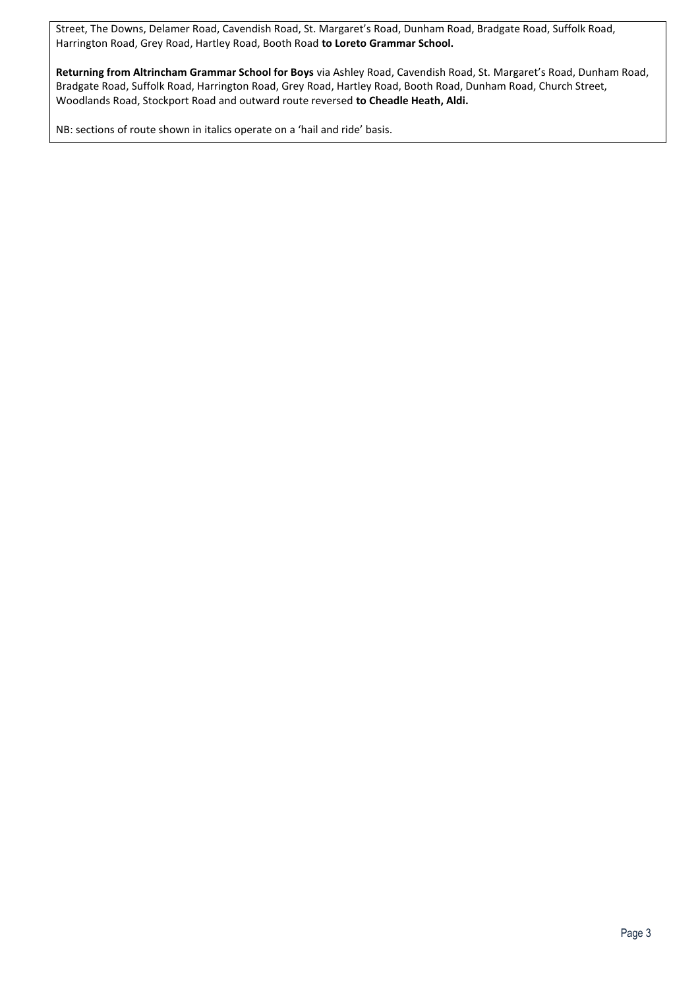Street, The Downs, Delamer Road, Cavendish Road, St. Margaret's Road, Dunham Road, Bradgate Road, Suffolk Road, Harrington Road, Grey Road, Hartley Road, Booth Road **to Loreto Grammar School.**

**Returning from Altrincham Grammar School for Boys** via Ashley Road, Cavendish Road, St. Margaret's Road, Dunham Road, Bradgate Road, Suffolk Road, Harrington Road, Grey Road, Hartley Road, Booth Road, Dunham Road, Church Street, Woodlands Road, Stockport Road and outward route reversed **to Cheadle Heath, Aldi.**

NB: sections of route shown in italics operate on a 'hail and ride' basis.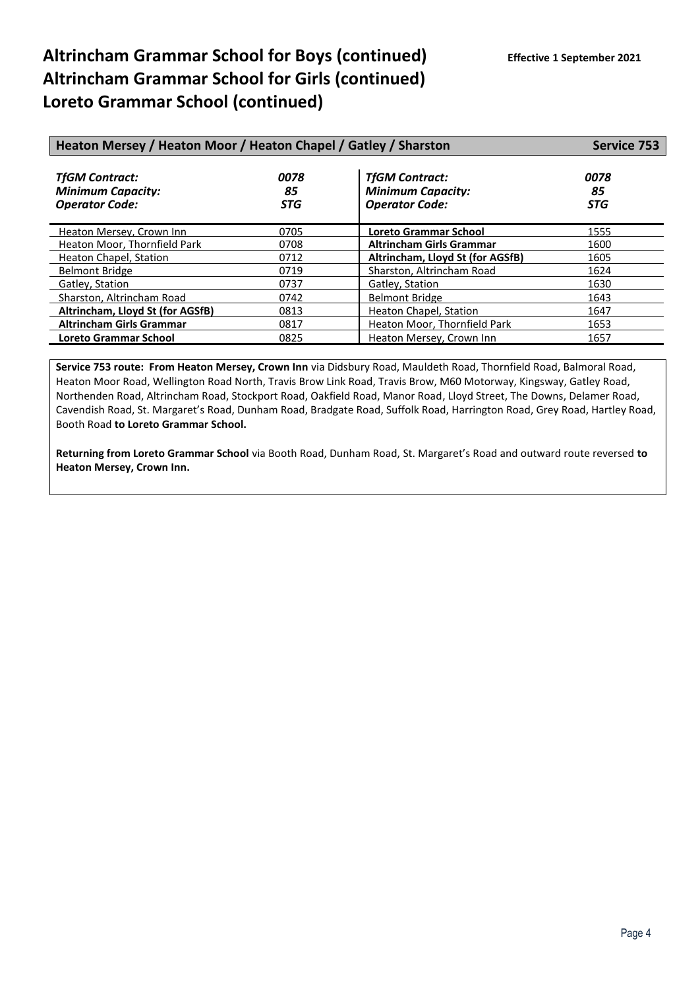| Heaton Mersey / Heaton Moor / Heaton Chapel / Gatley / Sharston            | <b>Service 753</b>       |                                                                            |                          |
|----------------------------------------------------------------------------|--------------------------|----------------------------------------------------------------------------|--------------------------|
| <b>TfGM Contract:</b><br><b>Minimum Capacity:</b><br><b>Operator Code:</b> | 0078<br>85<br><b>STG</b> | <b>TfGM Contract:</b><br><b>Minimum Capacity:</b><br><b>Operator Code:</b> | 0078<br>85<br><b>STG</b> |
| Heaton Mersey, Crown Inn                                                   | 0705                     | Loreto Grammar School                                                      | 1555                     |
| Heaton Moor, Thornfield Park                                               | 0708                     | <b>Altrincham Girls Grammar</b>                                            | 1600                     |
| Heaton Chapel, Station                                                     | 0712                     | Altrincham, Lloyd St (for AGSfB)                                           | 1605                     |
| <b>Belmont Bridge</b>                                                      | 0719                     | Sharston, Altrincham Road                                                  | 1624                     |
| Gatley, Station                                                            | 0737                     | Gatley, Station                                                            | 1630                     |
| Sharston, Altrincham Road                                                  | 0742                     | <b>Belmont Bridge</b>                                                      | 1643                     |
| Altrincham, Lloyd St (for AGSfB)                                           | 0813                     | Heaton Chapel, Station                                                     | 1647                     |
| <b>Altrincham Girls Grammar</b>                                            | 0817                     | Heaton Moor, Thornfield Park                                               | 1653                     |
| Loreto Grammar School                                                      | 0825                     | Heaton Mersey, Crown Inn                                                   | 1657                     |

**Service 753 route: From Heaton Mersey, Crown Inn** via Didsbury Road, Mauldeth Road, Thornfield Road, Balmoral Road, Heaton Moor Road, Wellington Road North, Travis Brow Link Road, Travis Brow, M60 Motorway, Kingsway, Gatley Road, Northenden Road, Altrincham Road, Stockport Road, Oakfield Road, Manor Road, Lloyd Street, The Downs, Delamer Road, Cavendish Road, St. Margaret's Road, Dunham Road, Bradgate Road, Suffolk Road, Harrington Road, Grey Road, Hartley Road, Booth Road **to Loreto Grammar School.**

**Returning from Loreto Grammar School** via Booth Road, Dunham Road, St. Margaret's Road and outward route reversed **to Heaton Mersey, Crown Inn.**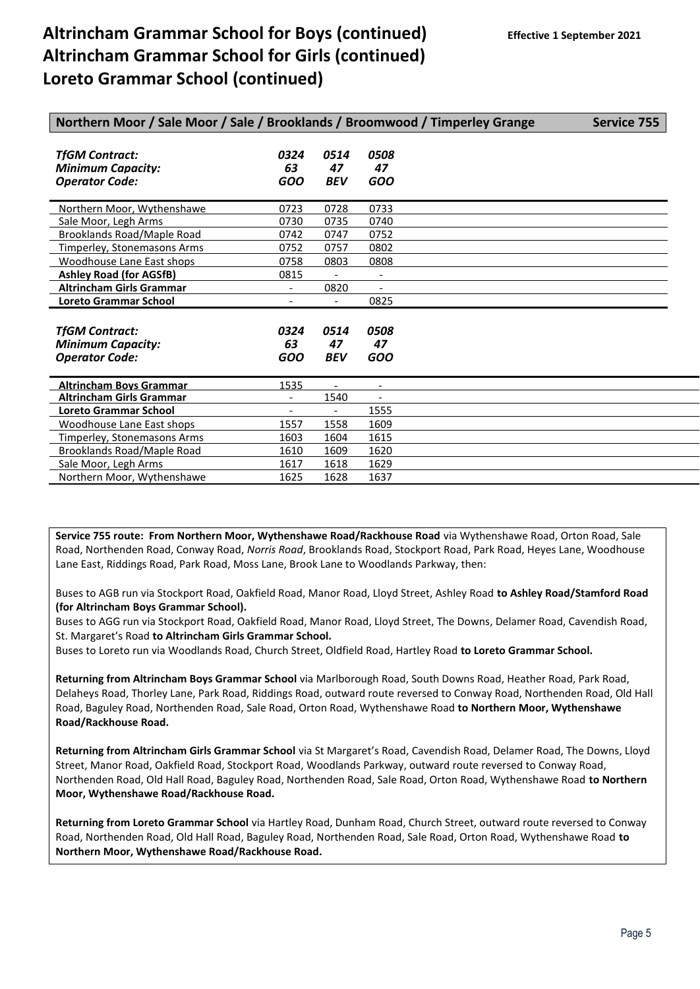| Northern Moor / Sale Moor / Sale / Brooklands / Broomwood / Timperley Grange |                              |                          |                          | <b>Service 755</b> |
|------------------------------------------------------------------------------|------------------------------|--------------------------|--------------------------|--------------------|
| <b>TfGM Contract:</b><br><b>Minimum Capacity:</b><br><b>Operator Code:</b>   | 0324<br>63<br><b>GOO</b>     | 0514<br>47<br><b>BEV</b> | 0508<br>47<br><b>GOO</b> |                    |
| Northern Moor, Wythenshawe                                                   | 0723                         | 0728                     | 0733                     |                    |
| Sale Moor, Legh Arms                                                         | 0730                         | 0735                     | 0740                     |                    |
| <b>Brooklands Road/Maple Road</b>                                            | 0742                         | 0747                     | 0752                     |                    |
| Timperley, Stonemasons Arms                                                  | 0752                         | 0757                     | 0802                     |                    |
| Woodhouse Lane East shops                                                    | 0758                         | 0803                     | 0808                     |                    |
| <b>Ashley Road (for AGSfB)</b>                                               | 0815                         |                          | $\overline{\phantom{a}}$ |                    |
| <b>Altrincham Girls Grammar</b>                                              | $\overline{\phantom{a}}$     | 0820                     | $\overline{\phantom{a}}$ |                    |
| <b>Loreto Grammar School</b>                                                 | $\overline{\phantom{a}}$     | $\overline{\phantom{a}}$ | 0825                     |                    |
| <b>TfGM Contract:</b><br><b>Minimum Capacity:</b><br><b>Operator Code:</b>   | 0324<br>63<br><b>GOO</b>     | 0514<br>47<br><b>BEV</b> | 0508<br>47<br><b>GOO</b> |                    |
| <b>Altrincham Boys Grammar</b>                                               | 1535                         |                          |                          |                    |
| <b>Altrincham Girls Grammar</b>                                              | $\overline{\phantom{a}}$     | 1540                     |                          |                    |
| <b>Loreto Grammar School</b>                                                 | $\qquad \qquad \blacksquare$ |                          | 1555                     |                    |
| Woodhouse Lane East shops                                                    | 1557                         | 1558                     | 1609                     |                    |
| Timperley, Stonemasons Arms                                                  | 1603                         | 1604                     | 1615                     |                    |
| Brooklands Road/Maple Road                                                   | 1610                         | 1609                     | 1620                     |                    |
| Sale Moor, Legh Arms                                                         | 1617                         | 1618                     | 1629                     |                    |
| Northern Moor, Wythenshawe                                                   | 1625                         | 1628                     | 1637                     |                    |

**Service 755 route: From Northern Moor, Wythenshawe Road/Rackhouse Road** via Wythenshawe Road, Orton Road, Sale Road, Northenden Road, Conway Road, *Norris Road*, Brooklands Road, Stockport Road, Park Road, Heyes Lane, Woodhouse Lane East, Riddings Road, Park Road, Moss Lane, Brook Lane to Woodlands Parkway, then:

Buses to AGB run via Stockport Road, Oakfield Road, Manor Road, Lloyd Street, Ashley Road **to Ashley Road/Stamford Road (for Altrincham Boys Grammar School).**

Buses to AGG run via Stockport Road, Oakfield Road, Manor Road, Lloyd Street, The Downs, Delamer Road, Cavendish Road, St. Margaret's Road **to Altrincham Girls Grammar School.**

Buses to Loreto run via Woodlands Road, Church Street, Oldfield Road, Hartley Road **to Loreto Grammar School.**

**Returning from Altrincham Boys Grammar School** via Marlborough Road, South Downs Road, Heather Road, Park Road, Delaheys Road, Thorley Lane, Park Road, Riddings Road, outward route reversed to Conway Road, Northenden Road, Old Hall Road, Baguley Road, Northenden Road, Sale Road, Orton Road, Wythenshawe Road **to Northern Moor, Wythenshawe Road/Rackhouse Road.**

**Returning from Altrincham Girls Grammar School** via St Margaret's Road, Cavendish Road, Delamer Road, The Downs, Lloyd Street, Manor Road, Oakfield Road, Stockport Road, Woodlands Parkway, outward route reversed to Conway Road, Northenden Road, Old Hall Road, Baguley Road, Northenden Road, Sale Road, Orton Road, Wythenshawe Road **to Northern Moor, Wythenshawe Road/Rackhouse Road.**

**Returning from Loreto Grammar School** via Hartley Road, Dunham Road, Church Street, outward route reversed to Conway Road, Northenden Road, Old Hall Road, Baguley Road, Northenden Road, Sale Road, Orton Road, Wythenshawe Road **to Northern Moor, Wythenshawe Road/Rackhouse Road.**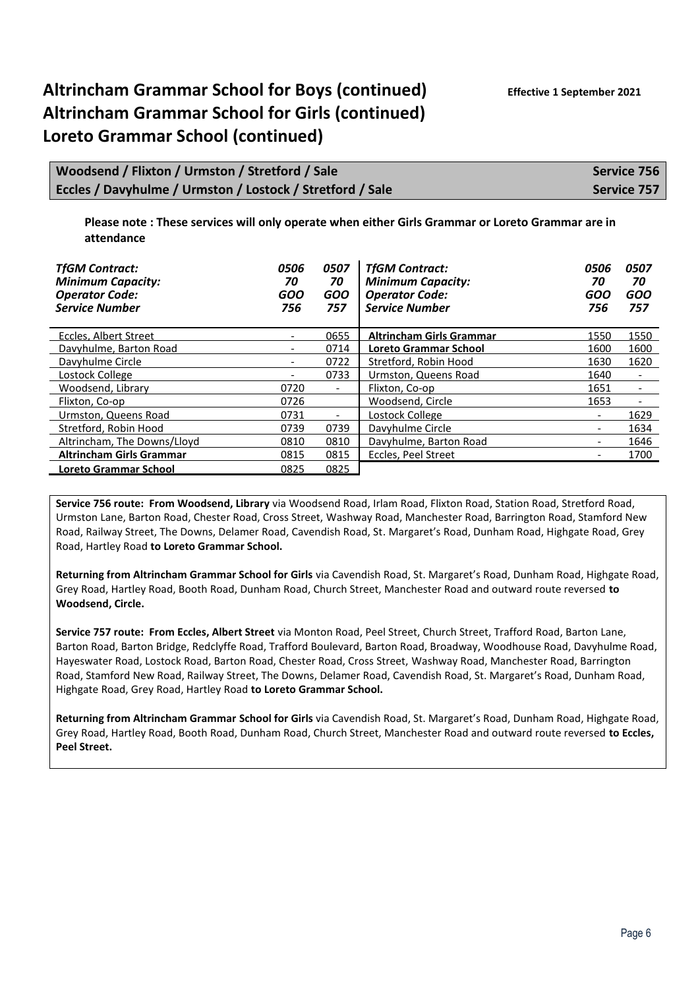| Woodsend / Flixton / Urmston / Stretford / Sale           | Service 756 |
|-----------------------------------------------------------|-------------|
| Eccles / Davyhulme / Urmston / Lostock / Stretford / Sale | Service 757 |

**Please note : These services will only operate when either Girls Grammar or Loreto Grammar are in attendance**

| <b>TfGM Contract:</b><br><b>Minimum Capacity:</b><br><b>Operator Code:</b><br><b>Service Number</b> | 0506<br>70<br>GOO<br>756 | 0507<br>70<br><b>GOO</b><br>757 | <b>TfGM Contract:</b><br><b>Minimum Capacity:</b><br><b>Operator Code:</b><br><b>Service Number</b> | 0506<br>70<br>GOO<br>756 | 0507<br>70<br><b>GOO</b><br>757 |
|-----------------------------------------------------------------------------------------------------|--------------------------|---------------------------------|-----------------------------------------------------------------------------------------------------|--------------------------|---------------------------------|
| Eccles. Albert Street                                                                               |                          | 0655                            | <b>Altrincham Girls Grammar</b>                                                                     | 1550                     | 1550                            |
| Davyhulme, Barton Road                                                                              |                          | 0714                            | <b>Loreto Grammar School</b>                                                                        | 1600                     | 1600                            |
| Davyhulme Circle                                                                                    | -                        | 0722                            | Stretford, Robin Hood                                                                               | 1630                     | 1620                            |
| Lostock College                                                                                     | $\overline{\phantom{0}}$ | 0733                            | Urmston, Queens Road                                                                                | 1640                     | $\overline{\phantom{a}}$        |
| Woodsend, Library                                                                                   | 0720                     | $\overline{\phantom{0}}$        | Flixton, Co-op                                                                                      | 1651                     | $\overline{\phantom{a}}$        |
| Flixton, Co-op                                                                                      | 0726                     |                                 | Woodsend, Circle                                                                                    | 1653                     | $\overline{\phantom{a}}$        |
| Urmston, Queens Road                                                                                | 0731                     | $\overline{\phantom{a}}$        | Lostock College                                                                                     | $\overline{\phantom{a}}$ | 1629                            |
| Stretford, Robin Hood                                                                               | 0739                     | 0739                            | Davyhulme Circle                                                                                    | $\overline{\phantom{0}}$ | 1634                            |
| Altrincham, The Downs/Lloyd                                                                         | 0810                     | 0810                            | Davyhulme, Barton Road                                                                              |                          | 1646                            |
| <b>Altrincham Girls Grammar</b>                                                                     | 0815                     | 0815                            | Eccles, Peel Street                                                                                 | -                        | 1700                            |
| <b>Loreto Grammar School</b>                                                                        | 0825                     | 0825                            |                                                                                                     |                          |                                 |

**Service 756 route: From Woodsend, Library** via Woodsend Road, Irlam Road, Flixton Road, Station Road, Stretford Road, Urmston Lane, Barton Road, Chester Road, Cross Street, Washway Road, Manchester Road, Barrington Road, Stamford New Road, Railway Street, The Downs, Delamer Road, Cavendish Road, St. Margaret's Road, Dunham Road, Highgate Road, Grey Road, Hartley Road **to Loreto Grammar School.**

**Returning from Altrincham Grammar School for Girls** via Cavendish Road, St. Margaret's Road, Dunham Road, Highgate Road, Grey Road, Hartley Road, Booth Road, Dunham Road, Church Street, Manchester Road and outward route reversed **to Woodsend, Circle.**

**Service 757 route: From Eccles, Albert Street** via Monton Road, Peel Street, Church Street, Trafford Road, Barton Lane, Barton Road, Barton Bridge, Redclyffe Road, Trafford Boulevard, Barton Road, Broadway, Woodhouse Road, Davyhulme Road, Hayeswater Road, Lostock Road, Barton Road, Chester Road, Cross Street, Washway Road, Manchester Road, Barrington Road, Stamford New Road, Railway Street, The Downs, Delamer Road, Cavendish Road, St. Margaret's Road, Dunham Road, Highgate Road, Grey Road, Hartley Road **to Loreto Grammar School.**

**Returning from Altrincham Grammar School for Girls** via Cavendish Road, St. Margaret's Road, Dunham Road, Highgate Road, Grey Road, Hartley Road, Booth Road, Dunham Road, Church Street, Manchester Road and outward route reversed **to Eccles, Peel Street.**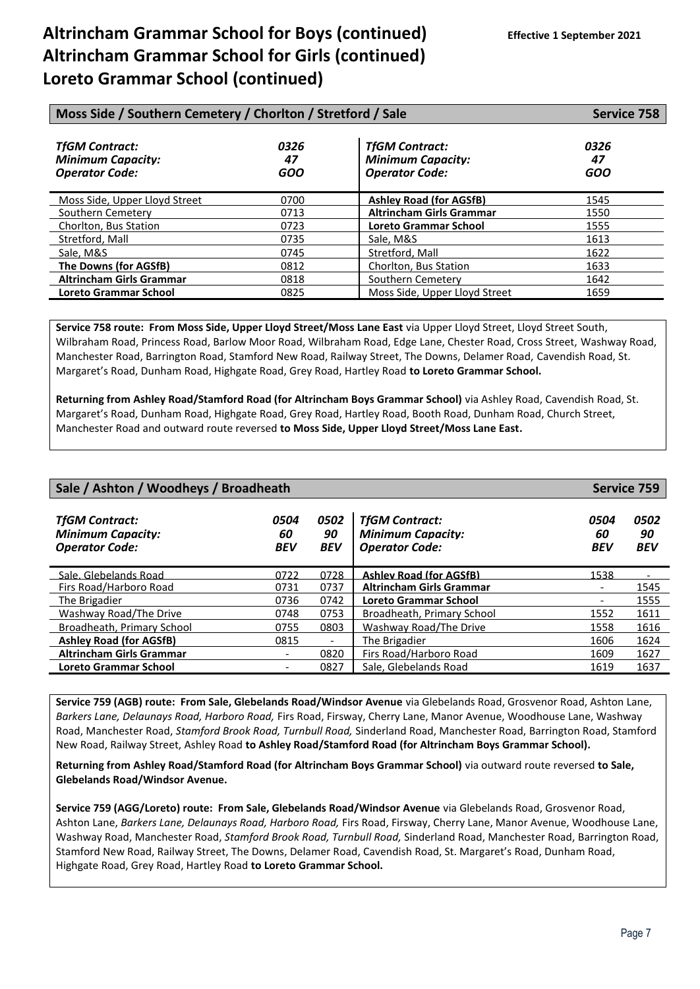| Moss Side / Southern Cemetery / Chorlton / Stretford / Sale                | <b>Service 758</b>       |                                                                            |                          |
|----------------------------------------------------------------------------|--------------------------|----------------------------------------------------------------------------|--------------------------|
| <b>TfGM Contract:</b><br><b>Minimum Capacity:</b><br><b>Operator Code:</b> | 0326<br>47<br><b>GOO</b> | <b>TfGM Contract:</b><br><b>Minimum Capacity:</b><br><b>Operator Code:</b> | 0326<br>47<br><b>GOO</b> |
| Moss Side. Upper Lloyd Street                                              | 0700                     | <b>Ashley Road (for AGSfB)</b>                                             | 1545                     |
| Southern Cemetery                                                          | 0713                     | <b>Altrincham Girls Grammar</b>                                            | 1550                     |
| Chorlton, Bus Station                                                      | 0723                     | Loreto Grammar School                                                      | 1555                     |
| Stretford, Mall                                                            | 0735                     | Sale, M&S                                                                  | 1613                     |
| Sale, M&S                                                                  | 0745                     | Stretford, Mall                                                            | 1622                     |
| The Downs (for AGSfB)                                                      | 0812                     | Chorlton, Bus Station                                                      | 1633                     |
| <b>Altrincham Girls Grammar</b>                                            | 0818                     | Southern Cemetery                                                          | 1642                     |
| <b>Loreto Grammar School</b>                                               | 0825                     | Moss Side, Upper Lloyd Street                                              | 1659                     |

**Service 758 route: From Moss Side, Upper Lloyd Street/Moss Lane East** via Upper Lloyd Street, Lloyd Street South, Wilbraham Road, Princess Road, Barlow Moor Road, Wilbraham Road, Edge Lane, Chester Road, Cross Street, Washway Road, Manchester Road, Barrington Road, Stamford New Road, Railway Street, The Downs, Delamer Road, Cavendish Road, St. Margaret's Road, Dunham Road, Highgate Road, Grey Road, Hartley Road **to Loreto Grammar School.**

**Returning from Ashley Road/Stamford Road (for Altrincham Boys Grammar School)** via Ashley Road, Cavendish Road, St. Margaret's Road, Dunham Road, Highgate Road, Grey Road, Hartley Road, Booth Road, Dunham Road, Church Street, Manchester Road and outward route reversed **to Moss Side, Upper Lloyd Street/Moss Lane East.**

| Sale / Ashton / Woodheys / Broadheath                                      |                          |                          |                                                                            | Service 759              |                          |
|----------------------------------------------------------------------------|--------------------------|--------------------------|----------------------------------------------------------------------------|--------------------------|--------------------------|
| <b>TfGM Contract:</b><br><b>Minimum Capacity:</b><br><b>Operator Code:</b> | 0504<br>60<br><b>BEV</b> | 0502<br>90<br><b>BEV</b> | <b>TfGM Contract:</b><br><b>Minimum Capacity:</b><br><b>Operator Code:</b> | 0504<br>60<br><b>BEV</b> | 0502<br>90<br><b>BEV</b> |
| Sale, Glebelands Road                                                      | 0722                     | 0728                     | <b>Ashley Road (for AGSfB)</b>                                             | 1538                     |                          |
| Firs Road/Harboro Road                                                     | 0731                     | 0737                     | <b>Altrincham Girls Grammar</b>                                            |                          | 1545                     |
| The Brigadier                                                              | 0736                     | 0742                     | <b>Loreto Grammar School</b>                                               |                          | 1555                     |
| Washway Road/The Drive                                                     | 0748                     | 0753                     | Broadheath, Primary School                                                 | 1552                     | 1611                     |
| Broadheath, Primary School                                                 | 0755                     | 0803                     | <b>Washway Road/The Drive</b>                                              | 1558                     | 1616                     |
| <b>Ashley Road (for AGSfB)</b>                                             | 0815                     | $\overline{\phantom{a}}$ | The Brigadier                                                              | 1606                     | 1624                     |
| <b>Altrincham Girls Grammar</b>                                            |                          | 0820                     | Firs Road/Harboro Road                                                     | 1609                     | 1627                     |
| Loreto Grammar School                                                      |                          | 0827                     | Sale, Glebelands Road                                                      | 1619                     | 1637                     |
|                                                                            |                          |                          |                                                                            |                          |                          |

**Service 759 (AGB) route: From Sale, Glebelands Road/Windsor Avenue** via Glebelands Road, Grosvenor Road, Ashton Lane, *Barkers Lane, Delaunays Road, Harboro Road,* Firs Road, Firsway, Cherry Lane, Manor Avenue, Woodhouse Lane, Washway Road, Manchester Road, *Stamford Brook Road, Turnbull Road,* Sinderland Road, Manchester Road, Barrington Road, Stamford New Road, Railway Street, Ashley Road **to Ashley Road/Stamford Road (for Altrincham Boys Grammar School).**

**Returning from Ashley Road/Stamford Road (for Altrincham Boys Grammar School)** via outward route reversed **to Sale, Glebelands Road/Windsor Avenue.**

**Service 759 (AGG/Loreto) route: From Sale, Glebelands Road/Windsor Avenue** via Glebelands Road, Grosvenor Road, Ashton Lane, *Barkers Lane, Delaunays Road, Harboro Road,* Firs Road, Firsway, Cherry Lane, Manor Avenue, Woodhouse Lane, Washway Road, Manchester Road, *Stamford Brook Road, Turnbull Road,* Sinderland Road, Manchester Road, Barrington Road, Stamford New Road, Railway Street, The Downs, Delamer Road, Cavendish Road, St. Margaret's Road, Dunham Road, Highgate Road, Grey Road, Hartley Road **to Loreto Grammar School.**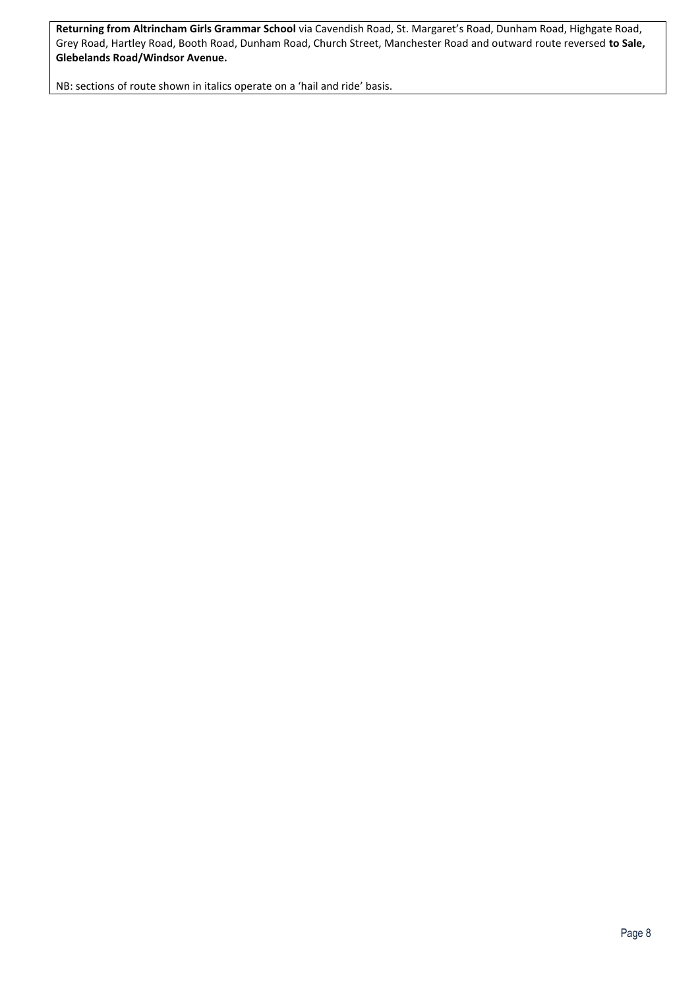**Returning from Altrincham Girls Grammar School** via Cavendish Road, St. Margaret's Road, Dunham Road, Highgate Road, Grey Road, Hartley Road, Booth Road, Dunham Road, Church Street, Manchester Road and outward route reversed **to Sale, Glebelands Road/Windsor Avenue.**

NB: sections of route shown in italics operate on a 'hail and ride' basis.